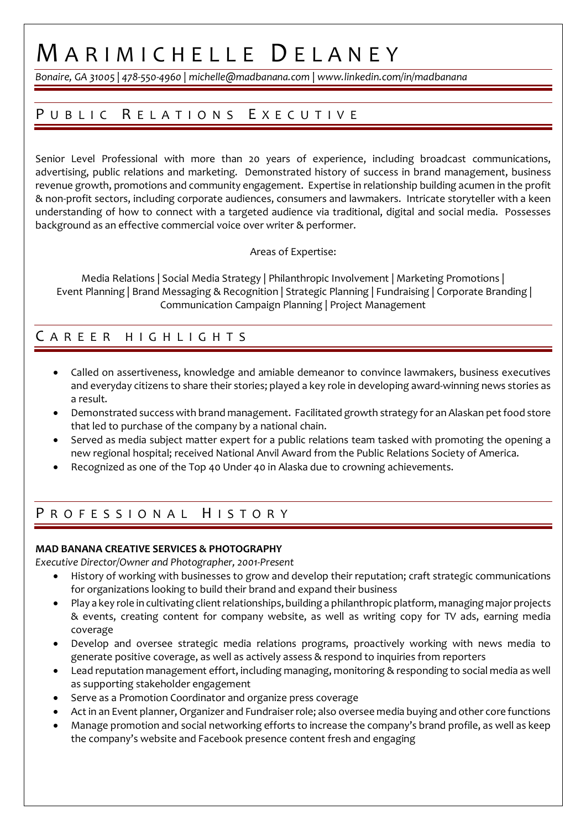# M ARIMICHELLE D ELANEY

*Bonaire, GA 31005 | 478-550-4960 | michelle@madbanana.com* | *www.linkedin.com/in/madbanana*

## PUBLIC RELATIONS EXECUTIVE

Senior Level Professional with more than 20 years of experience, including broadcast communications, advertising, public relations and marketing. Demonstrated history of success in brand management, business revenue growth, promotions and community engagement. Expertise in relationship building acumen in the profit & non-profit sectors, including corporate audiences, consumers and lawmakers. Intricate storyteller with a keen understanding of how to connect with a targeted audience via traditional, digital and social media. Possesses background as an effective commercial voice over writer & performer.

### Areas of Expertise:

Media Relations | Social Media Strategy | Philanthropic Involvement | Marketing Promotions | Event Planning | Brand Messaging & Recognition | Strategic Planning | Fundraising | Corporate Branding | Communication Campaign Planning | Project Management

### C AREER HIGHLIGHTS

- Called on assertiveness, knowledge and amiable demeanor to convince lawmakers, business executives and everyday citizens to share their stories; played a key role in developing award-winning news stories as a result.
- Demonstrated success with brand management. Facilitated growth strategy for an Alaskan pet food store that led to purchase of the company by a national chain.
- Served as media subject matter expert for a public relations team tasked with promoting the opening a new regional hospital; received National Anvil Award from the Public Relations Society of America.
- Recognized as one of the Top 40 Under 40 in Alaska due to crowning achievements.

## PROFESSIONAL HISTORY

### **MAD BANANA CREATIVE SERVICES & PHOTOGRAPHY**

*Executive Director/Owner and Photographer, 2001-Present*

- History of working with businesses to grow and develop their reputation; craft strategic communications for organizations looking to build their brand and expand their business
- Play a key role in cultivating client relationships, building a philanthropic platform, managing major projects & events, creating content for company website, as well as writing copy for TV ads, earning media coverage
- Develop and oversee strategic media relations programs, proactively working with news media to generate positive coverage, as well as actively assess & respond to inquiries from reporters
- Lead reputation management effort, including managing, monitoring & responding to social media as well as supporting stakeholder engagement
- Serve as a Promotion Coordinator and organize press coverage
- Act in an Event planner, Organizer and Fundraiserrole; also oversee media buying and other core functions
- Manage promotion and social networking efforts to increase the company's brand profile, as well as keep the company's website and Facebook presence content fresh and engaging